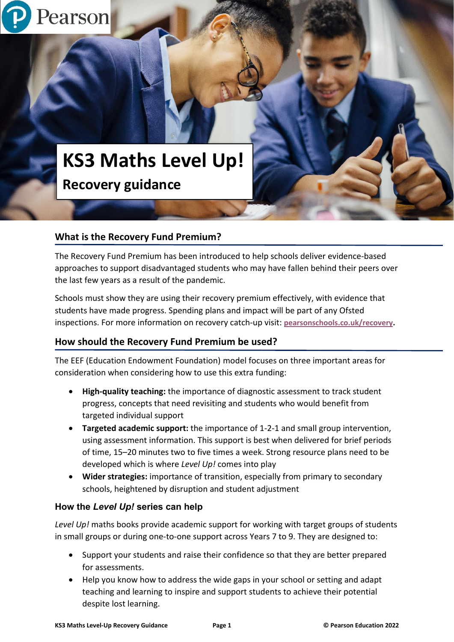# **KS3 Maths Level Up! Recovery guidance**

### **What is the Recovery Fund Premium?**

Pearson

The Recovery Fund Premium has been introduced to help schools deliver evidence-based approaches to support disadvantaged students who may have fallen behind their peers over the last few years as a result of the pandemic.

Schools must show they are using their recovery premium effectively, with evidence that students have made progress. Spending plans and impact will be part of any Ofsted inspections. For more information on recovery catch-up visit: **[pearsonschools.co.uk/recovery.](https://www.pearsonschoolsandfecolleges.co.uk/secondary/global-pages/secondary-funding-for-education-recovery?utm_source=pearson&utm_medium=print&utm_campaign=GBEDGS0322RECOV&utm_content=recoverypack)**

### **How should the Recovery Fund Premium be used?**

The EEF (Education Endowment Foundation) model focuses on three important areas for consideration when considering how to use this extra funding:

- **High-quality teaching:** the importance of diagnostic assessment to track student progress, concepts that need revisiting and students who would benefit from targeted individual support
- **Targeted academic support:** the importance of 1-2-1 and small group intervention, using assessment information. This support is best when delivered for brief periods of time, 15–20 minutes two to five times a week. Strong resource plans need to be developed which is where *Level Up!* comes into play
- **Wider strategies:** importance of transition, especially from primary to secondary schools, heightened by disruption and student adjustment

#### **How the** *Level Up!* **series can help**

*Level Up!* maths books provide academic support for working with target groups of students in small groups or during one-to-one support across Years 7 to 9. They are designed to:

- Support your students and raise their confidence so that they are better prepared for assessments.
- Help you know how to address the wide gaps in your school or setting and adapt teaching and learning to inspire and support students to achieve their potential despite lost learning.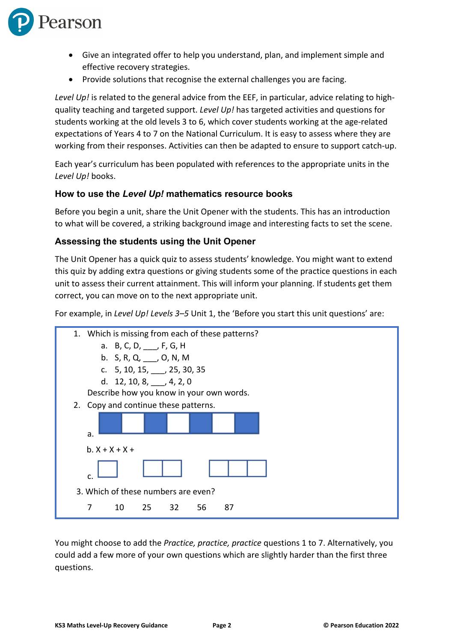

- Give an integrated offer to help you understand, plan, and implement simple and effective recovery strategies.
- Provide solutions that recognise the external challenges you are facing.

*Level Up!* is related to the general advice from the EEF, in particular, advice relating to highquality teaching and targeted support. *Level Up!* has targeted activities and questions for students working at the old levels 3 to 6, which cover students working at the age-related expectations of Years 4 to 7 on the National Curriculum. It is easy to assess where they are working from their responses. Activities can then be adapted to ensure to support catch-up.

Each year's curriculum has been populated with references to the appropriate units in the *Level Up!* books.

#### **How to use the** *Level Up!* **mathematics resource books**

Before you begin a unit, share the Unit Opener with the students. This has an introduction to what will be covered, a striking background image and interesting facts to set the scene.

#### **Assessing the students using the Unit Opener**

The Unit Opener has a quick quiz to assess students' knowledge. You might want to extend this quiz by adding extra questions or giving students some of the practice questions in each unit to assess their current attainment. This will inform your planning. If students get them correct, you can move on to the next appropriate unit.

For example, in *Level Up! Levels 3–5* Unit 1, the 'Before you start this unit questions' are:



You might choose to add the *Practice, practice, practice* questions 1 to 7. Alternatively, you could add a few more of your own questions which are slightly harder than the first three questions.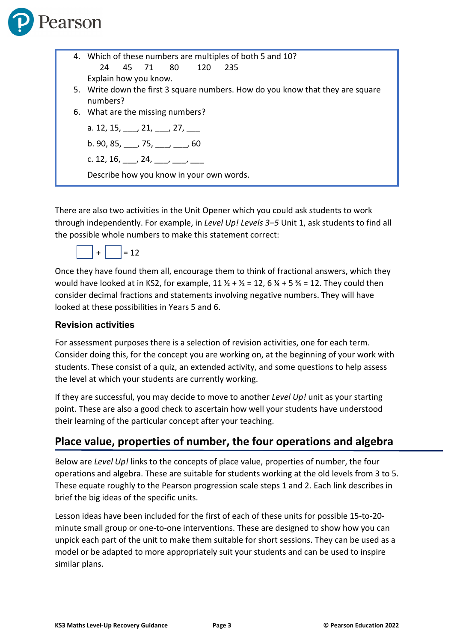

| 4. Which of these numbers are multiples of both 5 and 10?                                  |
|--------------------------------------------------------------------------------------------|
| 24 45 71 80 120 235                                                                        |
| Explain how you know.                                                                      |
| 5. Write down the first 3 square numbers. How do you know that they are square<br>numbers? |
| 6. What are the missing numbers?                                                           |
| a. 12, 15, $\qquad$ , 21, $\qquad$ , 27,                                                   |
| b. 90, 85, $\frac{1}{2}$ , 75, $\frac{1}{2}$ , $\frac{1}{2}$ , 60                          |
| c. 12, 16, $\frac{1}{2}$ , 24, $\frac{1}{2}$                                               |
| Describe how you know in your own words.                                                   |

There are also two activities in the Unit Opener which you could ask students to work through independently. For example, in *Level Up! Levels 3–5* Unit 1, ask students to find all the possible whole numbers to make this statement correct:



Once they have found them all, encourage them to think of fractional answers, which they would have looked at in KS2, for example,  $11 \frac{1}{2} + \frac{1}{2} = 12$ , 6  $\frac{1}{4} + 5 \frac{3}{4} = 12$ . They could then consider decimal fractions and statements involving negative numbers. They will have looked at these possibilities in Years 5 and 6.

#### **Revision activities**

For assessment purposes there is a selection of revision activities, one for each term. Consider doing this, for the concept you are working on, at the beginning of your work with students. These consist of a quiz, an extended activity, and some questions to help assess the level at which your students are currently working.

If they are successful, you may decide to move to another *Level Up!* unit as your starting point. These are also a good check to ascertain how well your students have understood their learning of the particular concept after your teaching.

## **Place value, properties of number, the four operations and algebra**

Below are *Level Up!* links to the concepts of place value, properties of number, the four operations and algebra. These are suitable for students working at the old levels from 3 to 5. These equate roughly to the Pearson progression scale steps 1 and 2. Each link describes in brief the big ideas of the specific units.

Lesson ideas have been included for the first of each of these units for possible 15-to-20 minute small group or one-to-one interventions. These are designed to show how you can unpick each part of the unit to make them suitable for short sessions. They can be used as a model or be adapted to more appropriately suit your students and can be used to inspire similar plans.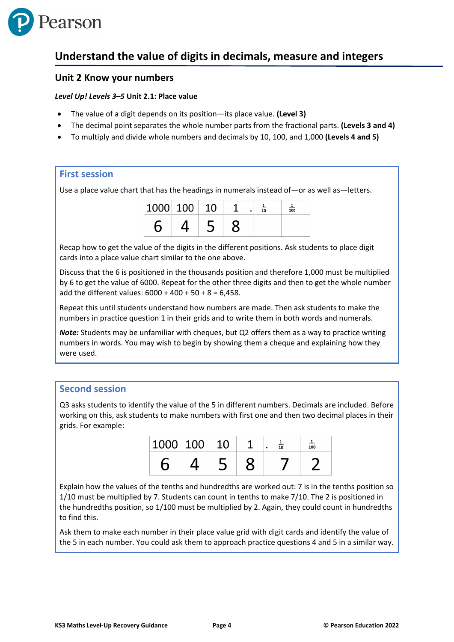

## **Understand the value of digits in decimals, measure and integers**

#### **Unit 2 Know your numbers**

#### *Level Up! Levels 3–5* **Unit 2.1: Place value**

- The value of a digit depends on its position—its place value. **(Level 3)**
- The decimal point separates the whole number parts from the fractional parts. **(Levels 3 and 4)**
- To multiply and divide whole numbers and decimals by 10, 100, and 1,000 **(Levels 4 and 5)**

#### **First session**

Use a place value chart that has the headings in numerals instead of—or as well as—letters.

| $\vert 1000 \vert$ 100 |  |  | 10 | 100 |
|------------------------|--|--|----|-----|
|                        |  |  |    |     |

Recap how to get the value of the digits in the different positions. Ask students to place digit cards into a place value chart similar to the one above.

Discuss that the 6 is positioned in the thousands position and therefore 1,000 must be multiplied by 6 to get the value of 6000. Repeat for the other three digits and then to get the whole number add the different values:  $6000 + 400 + 50 + 8 = 6,458$ .

Repeat this until students understand how numbers are made. Then ask students to make the numbers in practice question 1 in their grids and to write them in both words and numerals.

*Note:* Students may be unfamiliar with cheques, but Q2 offers them as a way to practice writing numbers in words. You may wish to begin by showing them a cheque and explaining how they were used.

#### **Second session**

Q3 asks students to identify the value of the 5 in different numbers. Decimals are included. Before working on this, ask students to make numbers with first one and then two decimal places in their grids. For example:

| 1000 | 100 |  | 10 | $\overline{100}$ |
|------|-----|--|----|------------------|
|      |     |  |    |                  |

Explain how the values of the tenths and hundredths are worked out: 7 is in the tenths position so 1/10 must be multiplied by 7. Students can count in tenths to make 7/10. The 2 is positioned in the hundredths position, so 1/100 must be multiplied by 2. Again, they could count in hundredths to find this.

Ask them to make each number in their place value grid with digit cards and identify the value of the 5 in each number. You could ask them to approach practice questions 4 and 5 in a similar way.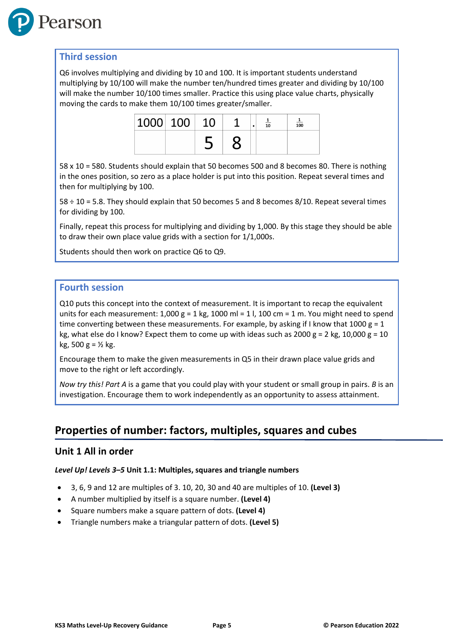

Q6 involves multiplying and dividing by 10 and 100. It is important students understand multiplying by 10/100 will make the number ten/hundred times greater and dividing by 10/100 will make the number 10/100 times smaller. Practice this using place value charts, physically moving the cards to make them 10/100 times greater/smaller.

| 1000 100 |  |  | 10 | 100 |
|----------|--|--|----|-----|
|          |  |  |    |     |

58 x 10 = 580. Students should explain that 50 becomes 500 and 8 becomes 80. There is nothing in the ones position, so zero as a place holder is put into this position. Repeat several times and then for multiplying by 100.

58 ÷ 10 = 5.8. They should explain that 50 becomes 5 and 8 becomes 8/10. Repeat several times for dividing by 100.

Finally, repeat this process for multiplying and dividing by 1,000. By this stage they should be able to draw their own place value grids with a section for 1/1,000s.

Students should then work on practice Q6 to Q9.

#### **Fourth session**

Q10 puts this concept into the context of measurement. It is important to recap the equivalent units for each measurement:  $1,000 g = 1 kg$ , 1000 ml = 1 l, 100 cm = 1 m. You might need to spend time converting between these measurements. For example, by asking if I know that 1000  $g = 1$ kg, what else do I know? Expect them to come up with ideas such as 2000 g = 2 kg, 10,000 g = 10 kg, 500 g = ½ kg.

Encourage them to make the given measurements in Q5 in their drawn place value grids and move to the right or left accordingly.

*Now try this! Part A* is a game that you could play with your student or small group in pairs. *B* is an investigation. Encourage them to work independently as an opportunity to assess attainment.

## **Properties of number: factors, multiples, squares and cubes**

#### **Unit 1 All in order**

#### *Level Up! Levels 3–5* **Unit 1.1: Multiples, squares and triangle numbers**

- 3, 6, 9 and 12 are multiples of 3. 10, 20, 30 and 40 are multiples of 10. **(Level 3)**
- A number multiplied by itself is a square number. **(Level 4)**
- Square numbers make a square pattern of dots. **(Level 4)**
- Triangle numbers make a triangular pattern of dots. **(Level 5)**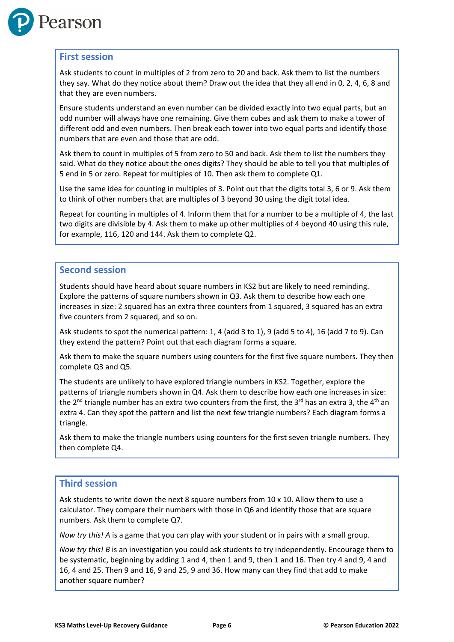

#### **First session**

Ask students to count in multiples of 2 from zero to 20 and back. Ask them to list the numbers they say. What do they notice about them? Draw out the idea that they all end in 0, 2, 4, 6, 8 and that they are even numbers.

Ensure students understand an even number can be divided exactly into two equal parts, but an odd number will always have one remaining. Give them cubes and ask them to make a tower of different odd and even numbers. Then break each tower into two equal parts and identify those numbers that are even and those that are odd.

Ask them to count in multiples of 5 from zero to 50 and back. Ask them to list the numbers they said. What do they notice about the ones digits? They should be able to tell you that multiples of 5 end in 5 or zero. Repeat for multiples of 10. Then ask them to complete Q1.

Use the same idea for counting in multiples of 3. Point out that the digits total 3, 6 or 9. Ask them to think of other numbers that are multiples of 3 beyond 30 using the digit total idea.

Repeat for counting in multiples of 4. Inform them that for a number to be a multiple of 4, the last two digits are divisible by 4. Ask them to make up other multiplies of 4 beyond 40 using this rule, for example, 116, 120 and 144. Ask them to complete Q2.

#### **Second session**

Students should have heard about square numbers in KS2 but are likely to need reminding. Explore the patterns of square numbers shown in Q3. Ask them to describe how each one increases in size: 2 squared has an extra three counters from 1 squared, 3 squared has an extra five counters from 2 squared, and so on.

Ask students to spot the numerical pattern: 1, 4 (add 3 to 1), 9 (add 5 to 4), 16 (add 7 to 9). Can they extend the pattern? Point out that each diagram forms a square.

Ask them to make the square numbers using counters for the first five square numbers. They then complete Q3 and Q5.

The students are unlikely to have explored triangle numbers in KS2. Together, explore the patterns of triangle numbers shown in Q4. Ask them to describe how each one increases in size: the 2<sup>nd</sup> triangle number has an extra two counters from the first, the 3<sup>rd</sup> has an extra 3, the 4<sup>th</sup> an extra 4. Can they spot the pattern and list the next few triangle numbers? Each diagram forms a triangle.

Ask them to make the triangle numbers using counters for the first seven triangle numbers. They then complete Q4.

#### **Third session**

Ask students to write down the next 8 square numbers from  $10 \times 10$ . Allow them to use a calculator. They compare their numbers with those in Q6 and identify those that are square numbers. Ask them to complete Q7.

*Now try this! A* is a game that you can play with your student or in pairs with a small group.

*Now try this! B* is an investigation you could ask students to try independently. Encourage them to be systematic, beginning by adding 1 and 4, then 1 and 9, then 1 and 16. Then try 4 and 9, 4 and 16, 4 and 25. Then 9 and 16, 9 and 25, 9 and 36. How many can they find that add to make another square number?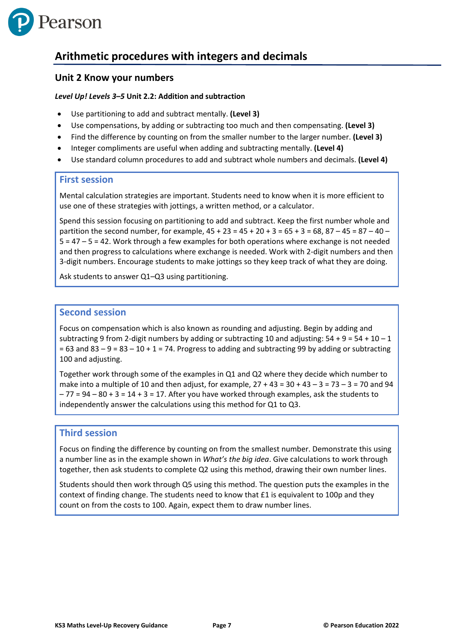

## **Arithmetic procedures with integers and decimals**

#### **Unit 2 Know your numbers**

#### *Level Up! Levels 3–5* **Unit 2.2: Addition and subtraction**

- Use partitioning to add and subtract mentally. **(Level 3)**
- Use compensations, by adding or subtracting too much and then compensating. **(Level 3)**
- Find the difference by counting on from the smaller number to the larger number. **(Level 3)**
- Integer compliments are useful when adding and subtracting mentally. **(Level 4)**
- Use standard column procedures to add and subtract whole numbers and decimals. **(Level 4)**

#### **First session**

Mental calculation strategies are important. Students need to know when it is more efficient to use one of these strategies with jottings, a written method, or a calculator.

Spend this session focusing on partitioning to add and subtract. Keep the first number whole and partition the second number, for example,  $45 + 23 = 45 + 20 + 3 = 65 + 3 = 68$ ,  $87 - 45 = 87 - 40 - 45$ 5 = 47 – 5 = 42. Work through a few examples for both operations where exchange is not needed and then progress to calculations where exchange is needed. Work with 2-digit numbers and then 3-digit numbers. Encourage students to make jottings so they keep track of what they are doing.

Ask students to answer Q1–Q3 using partitioning.

#### **Second session**

Focus on compensation which is also known as rounding and adjusting. Begin by adding and subtracting 9 from 2-digit numbers by adding or subtracting 10 and adjusting:  $54 + 9 = 54 + 10 - 1$  $= 63$  and  $83 - 9 = 83 - 10 + 1 = 74$ . Progress to adding and subtracting 99 by adding or subtracting 100 and adjusting.

Together work through some of the examples in Q1 and Q2 where they decide which number to make into a multiple of 10 and then adjust, for example,  $27 + 43 = 30 + 43 - 3 = 73 - 3 = 70$  and 94  $-77 = 94 - 80 + 3 = 14 + 3 = 17$ . After you have worked through examples, ask the students to independently answer the calculations using this method for Q1 to Q3.

#### **Third session**

Focus on finding the difference by counting on from the smallest number. Demonstrate this using a number line as in the example shown in *What's the big idea*. Give calculations to work through together, then ask students to complete Q2 using this method, drawing their own number lines.

Students should then work through Q5 using this method. The question puts the examples in the context of finding change. The students need to know that £1 is equivalent to 100p and they count on from the costs to 100. Again, expect them to draw number lines.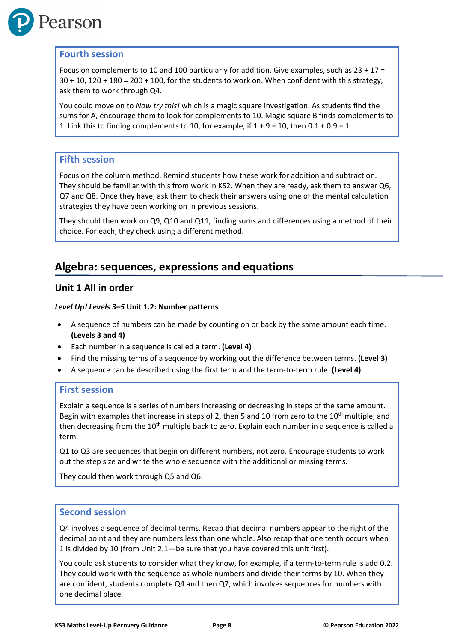

#### **Fourth session**

Focus on complements to 10 and 100 particularly for addition. Give examples, such as 23 + 17 =  $30 + 10$ ,  $120 + 180 = 200 + 100$ , for the students to work on. When confident with this strategy, ask them to work through Q4.

You could move on to *Now try this!* which is a magic square investigation. As students find the sums for A, encourage them to look for complements to 10. Magic square B finds complements to 1. Link this to finding complements to 10, for example, if  $1 + 9 = 10$ , then  $0.1 + 0.9 = 1$ .

#### **Fifth session**

Focus on the column method. Remind students how these work for addition and subtraction. They should be familiar with this from work in KS2. When they are ready, ask them to answer Q6, Q7 and Q8. Once they have, ask them to check their answers using one of the mental calculation strategies they have been working on in previous sessions.

They should then work on Q9, Q10 and Q11, finding sums and differences using a method of their choice. For each, they check using a different method.

## **Algebra: sequences, expressions and equations**

#### **Unit 1 All in order**

#### *Level Up! Levels 3–5* **Unit 1.2: Number patterns**

- A sequence of numbers can be made by counting on or back by the same amount each time. **(Levels 3 and 4)**
- Each number in a sequence is called a term. **(Level 4)**
- Find the missing terms of a sequence by working out the difference between terms. **(Level 3)**
- A sequence can be described using the first term and the term-to-term rule. **(Level 4)**

#### **First session**

Explain a sequence is a series of numbers increasing or decreasing in steps of the same amount. Begin with examples that increase in steps of 2, then 5 and 10 from zero to the  $10<sup>th</sup>$  multiple, and then decreasing from the  $10<sup>th</sup>$  multiple back to zero. Explain each number in a sequence is called a term.

Q1 to Q3 are sequences that begin on different numbers, not zero. Encourage students to work out the step size and write the whole sequence with the additional or missing terms.

They could then work through Q5 and Q6.

#### **Second session**

Q4 involves a sequence of decimal terms. Recap that decimal numbers appear to the right of the decimal point and they are numbers less than one whole. Also recap that one tenth occurs when 1 is divided by 10 (from Unit 2.1—be sure that you have covered this unit first).

You could ask students to consider what they know, for example, if a term-to-term rule is add 0.2. They could work with the sequence as whole numbers and divide their terms by 10. When they are confident, students complete Q4 and then Q7, which involves sequences for numbers with one decimal place.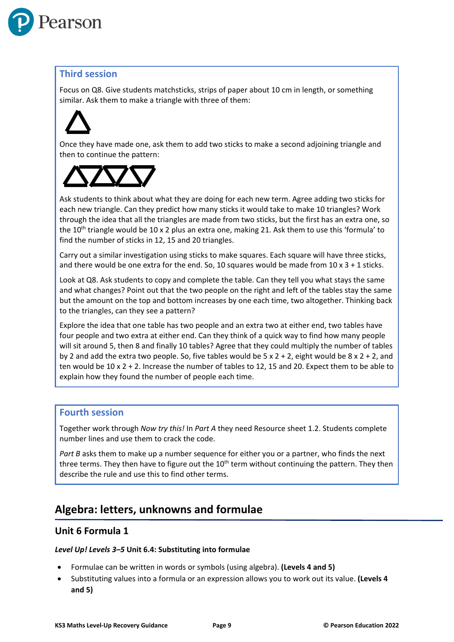

Focus on Q8. Give students matchsticks, strips of paper about 10 cm in length, or something similar. Ask them to make a triangle with three of them:

Once they have made one, ask them to add two sticks to make a second adjoining triangle and then to continue the pattern:



Ask students to think about what they are doing for each new term. Agree adding two sticks for each new triangle. Can they predict how many sticks it would take to make 10 triangles? Work through the idea that all the triangles are made from two sticks, but the first has an extra one, so the  $10^{th}$  triangle would be  $10 \times 2$  plus an extra one, making 21. Ask them to use this 'formula' to find the number of sticks in 12, 15 and 20 triangles.

Carry out a similar investigation using sticks to make squares. Each square will have three sticks, and there would be one extra for the end. So, 10 squares would be made from  $10 \times 3 + 1$  sticks.

Look at Q8. Ask students to copy and complete the table. Can they tell you what stays the same and what changes? Point out that the two people on the right and left of the tables stay the same but the amount on the top and bottom increases by one each time, two altogether. Thinking back to the triangles, can they see a pattern?

Explore the idea that one table has two people and an extra two at either end, two tables have four people and two extra at either end. Can they think of a quick way to find how many people will sit around 5, then 8 and finally 10 tables? Agree that they could multiply the number of tables by 2 and add the extra two people. So, five tables would be  $5 \times 2 + 2$ , eight would be  $8 \times 2 + 2$ , and ten would be 10 x 2 + 2. Increase the number of tables to 12, 15 and 20. Expect them to be able to explain how they found the number of people each time.

#### **Fourth session**

Together work through *Now try this!* In *Part A* they need Resource sheet 1.2. Students complete number lines and use them to crack the code.

Part B asks them to make up a number sequence for either you or a partner, who finds the next three terms. They then have to figure out the 10<sup>th</sup> term without continuing the pattern. They then describe the rule and use this to find other terms.

## **Algebra: letters, unknowns and formulae**

#### **Unit 6 Formula 1**

#### *Level Up! Levels 3–5* **Unit 6.4: Substituting into formulae**

- Formulae can be written in words or symbols (using algebra). **(Levels 4 and 5)**
- Substituting values into a formula or an expression allows you to work out its value. **(Levels 4 and 5)**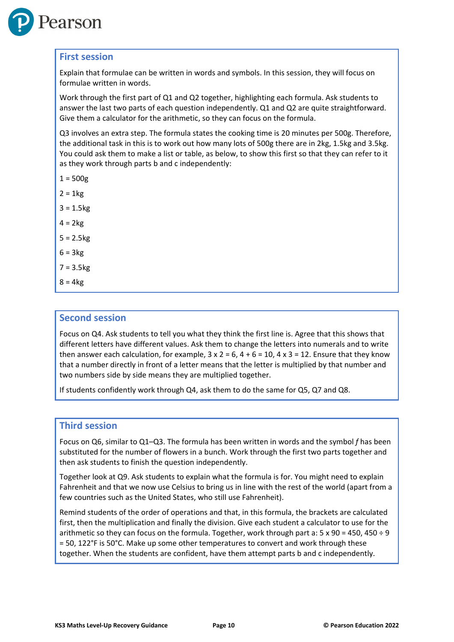

#### **First session**

Explain that formulae can be written in words and symbols. In this session, they will focus on formulae written in words.

Work through the first part of Q1 and Q2 together, highlighting each formula. Ask students to answer the last two parts of each question independently. Q1 and Q2 are quite straightforward. Give them a calculator for the arithmetic, so they can focus on the formula.

Q3 involves an extra step. The formula states the cooking time is 20 minutes per 500g. Therefore, the additional task in this is to work out how many lots of 500g there are in 2kg, 1.5kg and 3.5kg. You could ask them to make a list or table, as below, to show this first so that they can refer to it as they work through parts b and c independently:

- $1 = 500g$
- $2 = 1$  kg
- $3 = 1.5kg$
- $4 = 2kg$
- $5 = 2.5kg$
- $6 = 3kg$
- $7 = 3.5kg$
- $8 = 4kg$

#### **Second session**

Focus on Q4. Ask students to tell you what they think the first line is. Agree that this shows that different letters have different values. Ask them to change the letters into numerals and to write then answer each calculation, for example,  $3 \times 2 = 6$ ,  $4 + 6 = 10$ ,  $4 \times 3 = 12$ . Ensure that they know that a number directly in front of a letter means that the letter is multiplied by that number and two numbers side by side means they are multiplied together.

If students confidently work through Q4, ask them to do the same for Q5, Q7 and Q8.

#### **Third session**

Focus on Q6, similar to Q1–Q3. The formula has been written in words and the symbol *f* has been substituted for the number of flowers in a bunch. Work through the first two parts together and then ask students to finish the question independently.

Together look at Q9. Ask students to explain what the formula is for. You might need to explain Fahrenheit and that we now use Celsius to bring us in line with the rest of the world (apart from a few countries such as the United States, who still use Fahrenheit).

Remind students of the order of operations and that, in this formula, the brackets are calculated first, then the multiplication and finally the division. Give each student a calculator to use for the arithmetic so they can focus on the formula. Together, work through part a:  $5 \times 90 = 450$ ,  $450 \div 9$ = 50, 122°F is 50°C. Make up some other temperatures to convert and work through these together. When the students are confident, have them attempt parts b and c independently.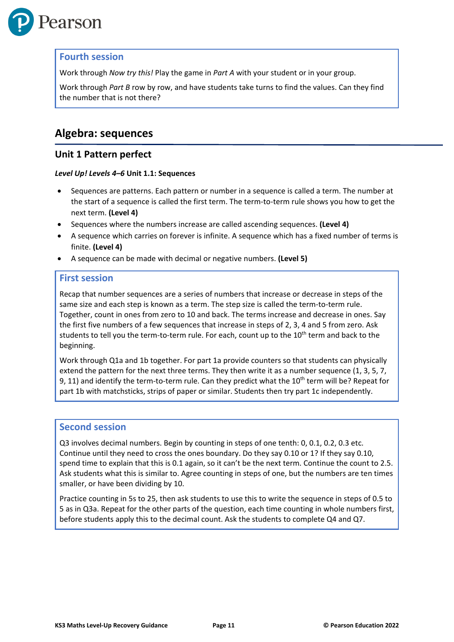

#### **Fourth session**

Work through *Now try this!* Play the game in *Part A* with your student or in your group.

Work through *Part B* row by row, and have students take turns to find the values. Can they find the number that is not there?

## **Algebra: sequences**

#### **Unit 1 Pattern perfect**

#### *Level Up! Levels 4–6* **Unit 1.1: Sequences**

- Sequences are patterns. Each pattern or number in a sequence is called a term. The number at the start of a sequence is called the first term. The term-to-term rule shows you how to get the next term. **(Level 4)**
- Sequences where the numbers increase are called ascending sequences. **(Level 4)**
- A sequence which carries on forever is infinite. A sequence which has a fixed number of terms is finite. **(Level 4)**
- A sequence can be made with decimal or negative numbers. **(Level 5)**

#### **First session**

Recap that number sequences are a series of numbers that increase or decrease in steps of the same size and each step is known as a term. The step size is called the term-to-term rule. Together, count in ones from zero to 10 and back. The terms increase and decrease in ones. Say the first five numbers of a few sequences that increase in steps of 2, 3, 4 and 5 from zero. Ask students to tell you the term-to-term rule. For each, count up to the 10<sup>th</sup> term and back to the beginning.

Work through Q1a and 1b together. For part 1a provide counters so that students can physically extend the pattern for the next three terms. They then write it as a number sequence (1, 3, 5, 7, 9, 11) and identify the term-to-term rule. Can they predict what the  $10^{th}$  term will be? Repeat for part 1b with matchsticks, strips of paper or similar. Students then try part 1c independently.

#### **Second session**

Q3 involves decimal numbers. Begin by counting in steps of one tenth: 0, 0.1, 0.2, 0.3 etc. Continue until they need to cross the ones boundary. Do they say 0.10 or 1? If they say 0.10, spend time to explain that this is 0.1 again, so it can't be the next term. Continue the count to 2.5. Ask students what this is similar to. Agree counting in steps of one, but the numbers are ten times smaller, or have been dividing by 10.

Practice counting in 5s to 25, then ask students to use this to write the sequence in steps of 0.5 to 5 as in Q3a. Repeat for the other parts of the question, each time counting in whole numbers first, before students apply this to the decimal count. Ask the students to complete Q4 and Q7.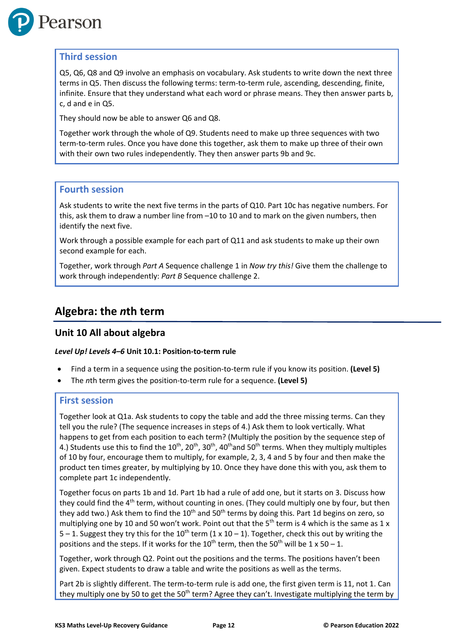

Q5, Q6, Q8 and Q9 involve an emphasis on vocabulary. Ask students to write down the next three terms in Q5. Then discuss the following terms: term-to-term rule, ascending, descending, finite, infinite. Ensure that they understand what each word or phrase means. They then answer parts b, c, d and e in Q5.

They should now be able to answer Q6 and Q8.

Together work through the whole of Q9. Students need to make up three sequences with two term-to-term rules. Once you have done this together, ask them to make up three of their own with their own two rules independently. They then answer parts 9b and 9c.

#### **Fourth session**

Ask students to write the next five terms in the parts of Q10. Part 10c has negative numbers. For this, ask them to draw a number line from –10 to 10 and to mark on the given numbers, then identify the next five.

Work through a possible example for each part of Q11 and ask students to make up their own second example for each.

Together, work through *Part A* Sequence challenge 1 in *Now try this!* Give them the challenge to work through independently: *Part B* Sequence challenge 2.

## **Algebra: the** *n***th term**

#### **Unit 10 All about algebra**

#### *Level Up! Levels 4–6* **Unit 10.1: Position-to-term rule**

- Find a term in a sequence using the position-to-term rule if you know its position. **(Level 5)**
- The *n*th term gives the position-to-term rule for a sequence. **(Level 5)**

#### **First session**

Together look at Q1a. Ask students to copy the table and add the three missing terms. Can they tell you the rule? (The sequence increases in steps of 4.) Ask them to look vertically. What happens to get from each position to each term? (Multiply the position by the sequence step of 4.) Students use this to find the  $10^{th}$ ,  $20^{th}$ ,  $30^{th}$ ,  $40^{th}$  and  $50^{th}$  terms. When they multiply multiples of 10 by four, encourage them to multiply, for example, 2, 3, 4 and 5 by four and then make the product ten times greater, by multiplying by 10. Once they have done this with you, ask them to complete part 1c independently.

Together focus on parts 1b and 1d. Part 1b had a rule of add one, but it starts on 3. Discuss how they could find the 4<sup>th</sup> term, without counting in ones. (They could multiply one by four, but then they add two.) Ask them to find the  $10<sup>th</sup>$  and  $50<sup>th</sup>$  terms by doing this. Part 1d begins on zero, so multiplying one by 10 and 50 won't work. Point out that the 5<sup>th</sup> term is 4 which is the same as 1 x  $5 - 1$ . Suggest they try this for the  $10^{th}$  term (1 x 10 – 1). Together, check this out by writing the positions and the steps. If it works for the 10<sup>th</sup> term, then the 50<sup>th</sup> will be 1 x 50 – 1.

Together, work through Q2. Point out the positions and the terms. The positions haven't been given. Expect students to draw a table and write the positions as well as the terms.

Part 2b is slightly different. The term-to-term rule is add one, the first given term is 11, not 1. Can they multiply one by 50 to get the 50<sup>th</sup> term? Agree they can't. Investigate multiplying the term by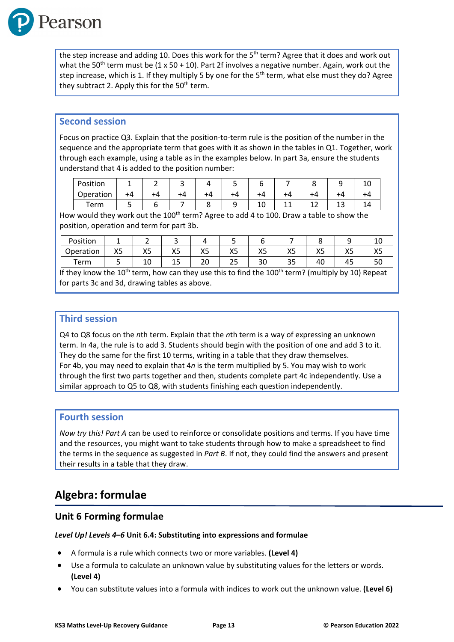

the step increase and adding 10. Does this work for the  $5<sup>th</sup>$  term? Agree that it does and work out what the 50<sup>th</sup> term must be  $(1 \times 50 + 10)$ . Part 2f involves a negative number. Again, work out the step increase, which is 1. If they multiply 5 by one for the 5<sup>th</sup> term, what else must they do? Agree they subtract 2. Apply this for the  $50<sup>th</sup>$  term.

#### **Second session**

Focus on practice Q3. Explain that the position-to-term rule is the position of the number in the sequence and the appropriate term that goes with it as shown in the tables in Q1. Together, work through each example, using a table as in the examples below. In part 3a, ensure the students understand that 4 is added to the position number:

| Position  |    |    |    |  |    |    |    |    |  |
|-----------|----|----|----|--|----|----|----|----|--|
| Operation | +4 | +4 | ۲4 |  |    | -4 |    |    |  |
| Term      |    |    |    |  | ⊥∪ | -- | -- | -- |  |

How would they work out the 100<sup>th</sup> term? Agree to add 4 to 100. Draw a table to show the position, operation and term for part 3b.

| Position  |          |          | ـ        |              |            |           |          |                    |                    | ⊥∪             |
|-----------|----------|----------|----------|--------------|------------|-----------|----------|--------------------|--------------------|----------------|
| Operation | vг<br>ハコ | vς<br>ハン | vΓ<br>د∧ | vг<br>$\sim$ | vг<br>ハン   | vc<br>ΛJ. | Yς<br>د∧ | $\mathbf{v}$<br>ハコ | vг<br>ハコ           | $\cdots$<br>ハン |
| ⊺erm      |          | 10       | -<br>ᅩ   | ົ<br>∠∪      | <u>_ _</u> | າດ<br>่วบ | つロ<br>35 | 40                 | $\sim$ $\sim$<br>≖ | υc             |

If they know the 10<sup>th</sup> term, how can they use this to find the 100<sup>th</sup> term? (multiply by 10) Repeat for parts 3c and 3d, drawing tables as above.

#### **Third session**

Q4 to Q8 focus on the *n*th term. Explain that the *n*th term is a way of expressing an unknown term. In 4a, the rule is to add 3. Students should begin with the position of one and add 3 to it. They do the same for the first 10 terms, writing in a table that they draw themselves. For 4b, you may need to explain that 4*n* is the term multiplied by 5. You may wish to work through the first two parts together and then, students complete part 4c independently. Use a similar approach to Q5 to Q8, with students finishing each question independently.

#### **Fourth session**

*Now try this! Part A* can be used to reinforce or consolidate positions and terms. If you have time and the resources, you might want to take students through how to make a spreadsheet to find the terms in the sequence as suggested in *Part B*. If not, they could find the answers and present their results in a table that they draw.

## **Algebra: formulae**

#### **Unit 6 Forming formulae**

#### *Level Up! Levels 4–6* **Unit 6.4: Substituting into expressions and formulae**

- A formula is a rule which connects two or more variables. **(Level 4)**
- Use a formula to calculate an unknown value by substituting values for the letters or words. **(Level 4)**
- You can substitute values into a formula with indices to work out the unknown value. **(Level 6)**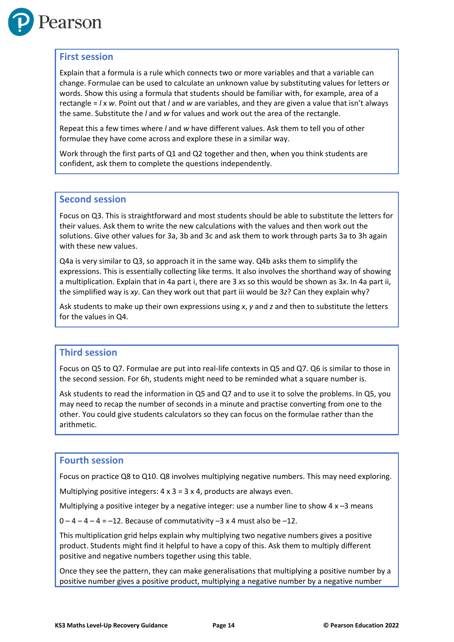

#### **First session**

Explain that a formula is a rule which connects two or more variables and that a variable can change. Formulae can be used to calculate an unknown value by substituting values for letters or words. Show this using a formula that students should be familiar with, for example, area of a rectangle = *l* x *w*. Point out that *l* and *w* are variables, and they are given a value that isn't always the same. Substitute the *l* and *w* for values and work out the area of the rectangle.

Repeat this a few times where *l* and *w* have different values. Ask them to tell you of other formulae they have come across and explore these in a similar way.

Work through the first parts of Q1 and Q2 together and then, when you think students are confident, ask them to complete the questions independently.

#### **Second session**

Focus on Q3. This is straightforward and most students should be able to substitute the letters for their values. Ask them to write the new calculations with the values and then work out the solutions. Give other values for 3a, 3b and 3c and ask them to work through parts 3a to 3h again with these new values.

Q4a is very similar to Q3, so approach it in the same way. Q4b asks them to simplify the expressions. This is essentially collecting like terms. It also involves the shorthand way of showing a multiplication. Explain that in 4a part i, there are 3 *x*s so this would be shown as 3*x*. In 4a part ii, the simplified way is *xy*. Can they work out that part iii would be 3*z*? Can they explain why?

Ask students to make up their own expressions using *x*, *y* and *z* and then to substitute the letters for the values in Q4.

#### **Third session**

Focus on Q5 to Q7. Formulae are put into real-life contexts in Q5 and Q7. Q6 is similar to those in the second session. For 6h, students might need to be reminded what a square number is.

Ask students to read the information in Q5 and Q7 and to use it to solve the problems. In Q5, you may need to recap the number of seconds in a minute and practise converting from one to the other. You could give students calculators so they can focus on the formulae rather than the arithmetic.

#### **Fourth session**

Focus on practice Q8 to Q10. Q8 involves multiplying negative numbers. This may need exploring.

Multiplying positive integers:  $4 \times 3 = 3 \times 4$ , products are always even.

Multiplying a positive integer by a negative integer: use a number line to show  $4 \times -3$  means

 $0 - 4 - 4 - 4 = -12$ . Because of commutativity  $-3 \times 4$  must also be  $-12$ .

This multiplication grid helps explain why multiplying two negative numbers gives a positive product. Students might find it helpful to have a copy of this. Ask them to multiply different positive and negative numbers together using this table.

Once they see the pattern, they can make generalisations that multiplying a positive number by a positive number gives a positive product, multiplying a negative number by a negative number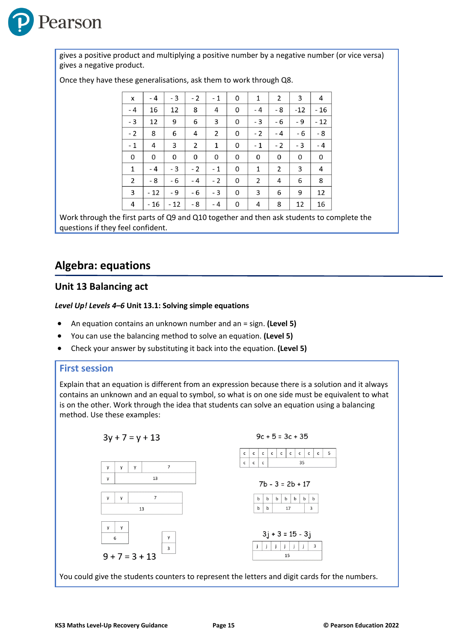

gives a positive product and multiplying a positive number by a negative number (or vice versa) gives a negative product.

| X    | - 4   | $-3$ | $-2$ | $-1$           | 0 | 1            | 2              | 3     | 4     |
|------|-------|------|------|----------------|---|--------------|----------------|-------|-------|
| $-4$ | 16    | 12   | 8    | 4              | 0 | $-4$         | - 8            | $-12$ | - 16  |
| $-3$ | 12    | 9    | 6    | 3              | 0 | - 3          | - 6            | - 9   | $-12$ |
| $-2$ | 8     | 6    | 4    | $\overline{2}$ | 0 | $-2$         | $-4$           | - 6   | - 8   |
| $-1$ | 4     | 3    | 2    | 1              | 0 | $-1$         | $-2$           | - 3   | $-4$  |
| 0    | 0     | 0    | 0    | 0              | 0 | 0            | 0              | 0     | 0     |
| 1    | - 4   | $-3$ | $-2$ | $-1$           | 0 | $\mathbf{1}$ | $\overline{2}$ | 3     | 4     |
| 2    | - 8   | - 6  | - 4  | $-2$           | 0 | 2            | 4              | 6     | 8     |
| 3    | $-12$ | - 9  | - 6  | $-3$           | 0 | 3            | 6              | 9     | 12    |
| 4    | $-16$ | - 12 | - 8  | $-4$           | 0 | 4            | 8              | 12    | 16    |

Once they have these generalisations, ask them to work through Q8.

Work through the first parts of Q9 and Q10 together and then ask students to complete the questions if they feel confident.

## **Algebra: equations**

#### **Unit 13 Balancing act**

#### *Level Up! Levels 4–6* **Unit 13.1: Solving simple equations**

- An equation contains an unknown number and an = sign. **(Level 5)**
- You can use the balancing method to solve an equation. **(Level 5)**
- Check your answer by substituting it back into the equation. **(Level 5)**

#### **First session**

Explain that an equation is different from an expression because there is a solution and it always contains an unknown and an equal to symbol, so what is on one side must be equivalent to what is on the other. Work through the idea that students can solve an equation using a balancing method. Use these examples:

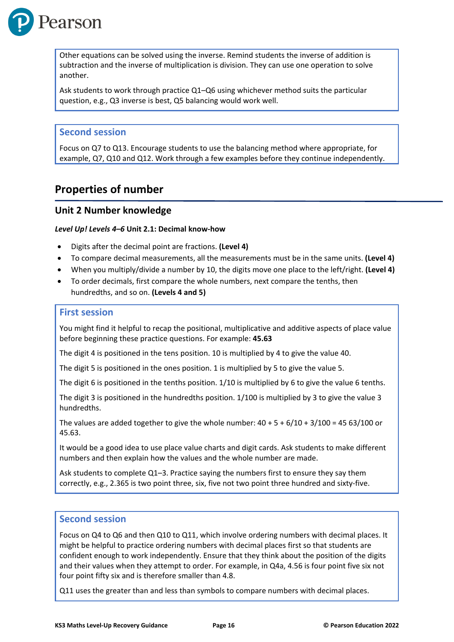

Other equations can be solved using the inverse. Remind students the inverse of addition is subtraction and the inverse of multiplication is division. They can use one operation to solve another.

Ask students to work through practice Q1–Q6 using whichever method suits the particular question, e.g., Q3 inverse is best, Q5 balancing would work well.

#### **Second session**

Focus on Q7 to Q13. Encourage students to use the balancing method where appropriate, for example, Q7, Q10 and Q12. Work through a few examples before they continue independently.

### **Properties of number**

#### **Unit 2 Number knowledge**

#### *Level Up! Levels 4–6* **Unit 2.1: Decimal know-how**

- Digits after the decimal point are fractions. **(Level 4)**
- To compare decimal measurements, all the measurements must be in the same units. **(Level 4)**
- When you multiply/divide a number by 10, the digits move one place to the left/right. **(Level 4)**
- To order decimals, first compare the whole numbers, next compare the tenths, then hundredths, and so on. **(Levels 4 and 5)**

#### **First session**

You might find it helpful to recap the positional, multiplicative and additive aspects of place value before beginning these practice questions. For example: **45.63**

The digit 4 is positioned in the tens position. 10 is multiplied by 4 to give the value 40.

The digit 5 is positioned in the ones position. 1 is multiplied by 5 to give the value 5.

The digit 6 is positioned in the tenths position. 1/10 is multiplied by 6 to give the value 6 tenths.

The digit 3 is positioned in the hundredths position. 1/100 is multiplied by 3 to give the value 3 hundredths.

The values are added together to give the whole number:  $40 + 5 + 6/10 + 3/100 = 4563/100$  or 45.63.

It would be a good idea to use place value charts and digit cards. Ask students to make different numbers and then explain how the values and the whole number are made.

Ask students to complete Q1–3. Practice saying the numbers first to ensure they say them correctly, e.g., 2.365 is two point three, six, five not two point three hundred and sixty-five.

#### **Second session**

Focus on Q4 to Q6 and then Q10 to Q11, which involve ordering numbers with decimal places. It might be helpful to practice ordering numbers with decimal places first so that students are confident enough to work independently. Ensure that they think about the position of the digits and their values when they attempt to order. For example, in Q4a, 4.56 is four point five six not four point fifty six and is therefore smaller than 4.8.

Q11 uses the greater than and less than symbols to compare numbers with decimal places.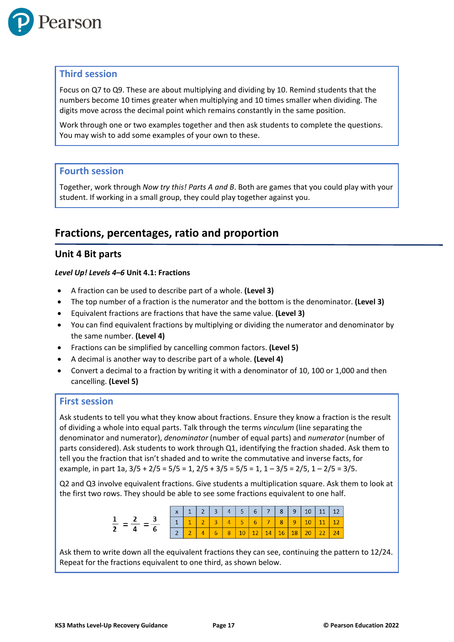

Focus on Q7 to Q9. These are about multiplying and dividing by 10. Remind students that the numbers become 10 times greater when multiplying and 10 times smaller when dividing. The digits move across the decimal point which remains constantly in the same position.

Work through one or two examples together and then ask students to complete the questions. You may wish to add some examples of your own to these.

#### **Fourth session**

Together, work through *Now try this! Parts A and B*. Both are games that you could play with your student. If working in a small group, they could play together against you.

## **Fractions, percentages, ratio and proportion**

#### **Unit 4 Bit parts**

#### *Level Up! Levels 4–6* **Unit 4.1: Fractions**

- A fraction can be used to describe part of a whole. **(Level 3)**
- The top number of a fraction is the numerator and the bottom is the denominator. **(Level 3)**
- Equivalent fractions are fractions that have the same value. **(Level 3)**
- You can find equivalent fractions by multiplying or dividing the numerator and denominator by the same number. **(Level 4)**
- Fractions can be simplified by cancelling common factors. **(Level 5)**
- A decimal is another way to describe part of a whole. **(Level 4)**
- Convert a decimal to a fraction by writing it with a denominator of 10, 100 or 1,000 and then cancelling. **(Level 5)**

#### **First session**

Ask students to tell you what they know about fractions. Ensure they know a fraction is the result of dividing a whole into equal parts. Talk through the terms *vinculum* (line separating the denominator and numerator), *denominator* (number of equal parts) and *numerator* (number of parts considered). Ask students to work through Q1, identifying the fraction shaded. Ask them to tell you the fraction that isn't shaded and to write the commutative and inverse facts, for example, in part 1a,  $3/5 + 2/5 = 5/5 = 1$ ,  $2/5 + 3/5 = 5/5 = 1$ ,  $1 - 3/5 = 2/5$ ,  $1 - 2/5 = 3/5$ .

Q2 and Q3 involve equivalent fractions. Give students a multiplication square. Ask them to look at the first two rows. They should be able to see some fractions equivalent to one half.

| $\mathsf{x}$   | 1              | $\overline{2}$ | 3 <sup>7</sup> | $4 \mid 5 \mid 6 \mid 7 \mid 8 \mid 9 \mid 10$ |                   |                         |              | $111$ 12        |  |
|----------------|----------------|----------------|----------------|------------------------------------------------|-------------------|-------------------------|--------------|-----------------|--|
| $\overline{1}$ | $\overline{a}$ |                |                | 5 <sub>1</sub>                                 | $6 \mid 7 \mid 8$ | $\blacktriangleleft$ 97 | 10           | 11 <sub>1</sub> |  |
|                |                | $\overline{4}$ | 6              | 8 10 12 14 16 18                               |                   |                         | 20   22   24 |                 |  |

Ask them to write down all the equivalent fractions they can see, continuing the pattern to 12/24. Repeat for the fractions equivalent to one third, as shown below.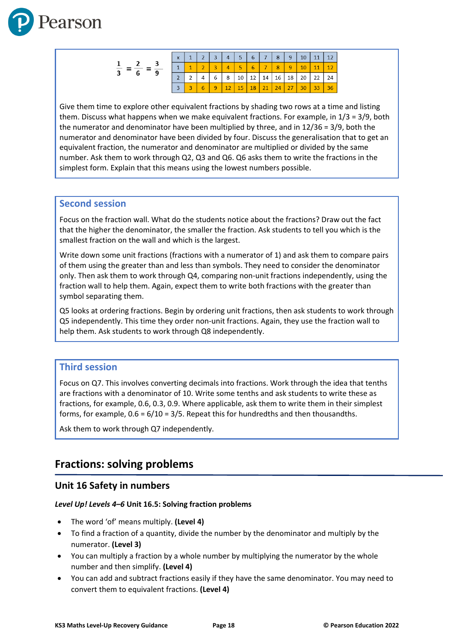

|                | $\mathbf{x}$ | $\overline{2}$ | 3 | $\overline{4}$ | 5 <sup>7</sup> | 6 <sup>1</sup>        | $-1$ 7 $-$ | 8  | 9  | 10 | 11 | 12 |
|----------------|--------------|----------------|---|----------------|----------------|-----------------------|------------|----|----|----|----|----|
| $\overline{9}$ |              |                |   |                |                |                       |            | 8  | 9  |    | 11 |    |
| o              |              |                | 6 | 8              | 10             | ົ <sup>1</sup> 12 ⊥ ⊥ | 14         | 16 | 18 | 20 | 22 | 24 |
|                |              |                |   |                | ΙĘ             | 18                    |            | 74 |    |    |    |    |

Give them time to explore other equivalent fractions by shading two rows at a time and listing them. Discuss what happens when we make equivalent fractions. For example, in 1/3 = 3/9, both the numerator and denominator have been multiplied by three, and in 12/36 = 3/9, both the numerator and denominator have been divided by four. Discuss the generalisation that to get an equivalent fraction, the numerator and denominator are multiplied or divided by the same number. Ask them to work through Q2, Q3 and Q6. Q6 asks them to write the fractions in the simplest form. Explain that this means using the lowest numbers possible.

#### **Second session**

Focus on the fraction wall. What do the students notice about the fractions? Draw out the fact that the higher the denominator, the smaller the fraction. Ask students to tell you which is the smallest fraction on the wall and which is the largest.

Write down some unit fractions (fractions with a numerator of 1) and ask them to compare pairs of them using the greater than and less than symbols. They need to consider the denominator only. Then ask them to work through Q4, comparing non-unit fractions independently, using the fraction wall to help them. Again, expect them to write both fractions with the greater than symbol separating them.

Q5 looks at ordering fractions. Begin by ordering unit fractions, then ask students to work through Q5 independently. This time they order non-unit fractions. Again, they use the fraction wall to help them. Ask students to work through Q8 independently.

#### **Third session**

Focus on Q7. This involves converting decimals into fractions. Work through the idea that tenths are fractions with a denominator of 10. Write some tenths and ask students to write these as fractions, for example, 0.6, 0.3, 0.9. Where applicable, ask them to write them in their simplest forms, for example,  $0.6 = 6/10 = 3/5$ . Repeat this for hundredths and then thousandths.

Ask them to work through Q7 independently.

## **Fractions: solving problems**

#### **Unit 16 Safety in numbers**

#### *Level Up! Levels 4–6* **Unit 16.5: Solving fraction problems**

- The word 'of' means multiply. **(Level 4)**
- To find a fraction of a quantity, divide the number by the denominator and multiply by the numerator. **(Level 3)**
- You can multiply a fraction by a whole number by multiplying the numerator by the whole number and then simplify. **(Level 4)**
- You can add and subtract fractions easily if they have the same denominator. You may need to convert them to equivalent fractions. **(Level 4)**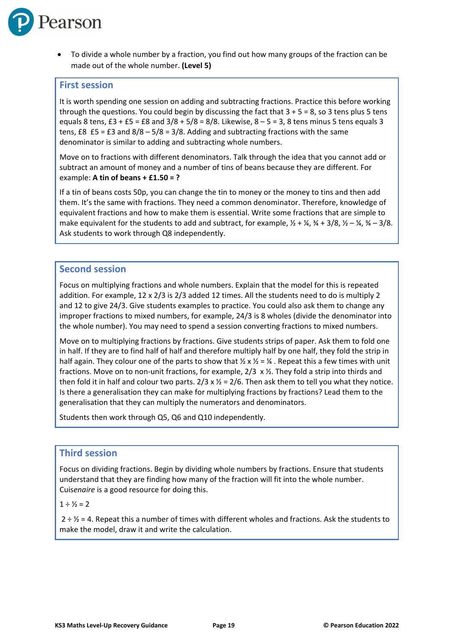

• To divide a whole number by a fraction, you find out how many groups of the fraction can be made out of the whole number. **(Level 5)**

#### **First session**

It is worth spending one session on adding and subtracting fractions. Practice this before working through the questions. You could begin by discussing the fact that  $3 + 5 = 8$ , so 3 tens plus 5 tens equals 8 tens,  $£3 + £5 = £8$  and  $3/8 + 5/8 = 8/8$ . Likewise,  $8 - 5 = 3$ , 8 tens minus 5 tens equals 3 tens,  $£8$   $£5 = £3$  and  $8/8 - 5/8 = 3/8$ . Adding and subtracting fractions with the same denominator is similar to adding and subtracting whole numbers.

Move on to fractions with different denominators. Talk through the idea that you cannot add or subtract an amount of money and a number of tins of beans because they are different. For example: **A tin of beans + £1.50 = ?**

If a tin of beans costs 50p, you can change the tin to money or the money to tins and then add them. It's the same with fractions. They need a common denominator. Therefore, knowledge of equivalent fractions and how to make them is essential. Write some fractions that are simple to make equivalent for the students to add and subtract, for example,  $\frac{1}{2} + \frac{1}{4}$ ,  $\frac{3}{4} + \frac{3}{8}$ ,  $\frac{1}{2} - \frac{1}{4}$ ,  $\frac{3}{4} - \frac{3}{8}$ . Ask students to work through Q8 independently.

#### **Second session**

Focus on multiplying fractions and whole numbers. Explain that the model for this is repeated addition. For example, 12 x 2/3 is 2/3 added 12 times. All the students need to do is multiply 2 and 12 to give 24/3. Give students examples to practice. You could also ask them to change any improper fractions to mixed numbers, for example, 24/3 is 8 wholes (divide the denominator into the whole number). You may need to spend a session converting fractions to mixed numbers.

Move on to multiplying fractions by fractions. Give students strips of paper. Ask them to fold one in half. If they are to find half of half and therefore multiply half by one half, they fold the strip in half again. They colour one of the parts to show that  $\frac{1}{2} \times \frac{1}{2} = \frac{1}{4}$ . Repeat this a few times with unit fractions. Move on to non-unit fractions, for example, 2/3 x ½. They fold a strip into thirds and then fold it in half and colour two parts.  $2/3 \times \frac{1}{2} = 2/6$ . Then ask them to tell you what they notice. Is there a generalisation they can make for multiplying fractions by fractions? Lead them to the generalisation that they can multiply the numerators and denominators.

Students then work through Q5, Q6 and Q10 independently.

#### **Third session**

Focus on dividing fractions. Begin by dividing whole numbers by fractions. Ensure that students understand that they are finding how many of the fraction will fit into the whole number. Cuis*enaire* is a good resource for doing this.

 $1 \div 1/2 = 2$ 

 $2 \div \frac{1}{2}$  = 4. Repeat this a number of times with different wholes and fractions. Ask the students to make the model, draw it and write the calculation.